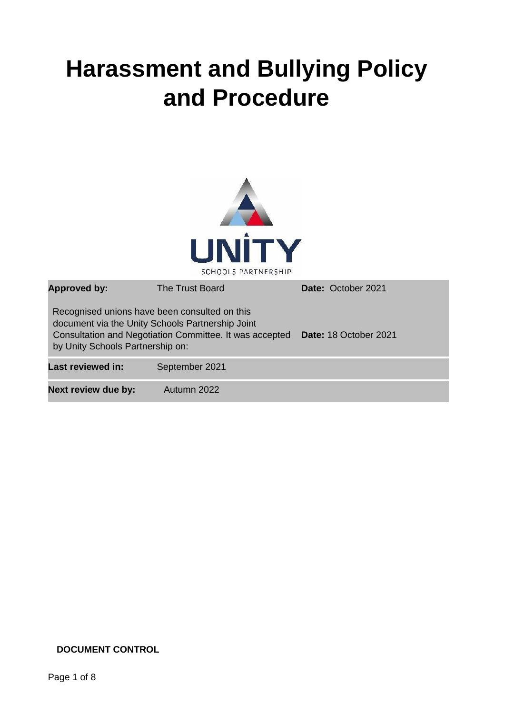# **Harassment and Bullying Policy and Procedure**



| <b>Approved by:</b>                                                               | The Trust Board                                                                                             | Date: October 2021    |
|-----------------------------------------------------------------------------------|-------------------------------------------------------------------------------------------------------------|-----------------------|
| Recognised unions have been consulted on this<br>by Unity Schools Partnership on: | document via the Unity Schools Partnership Joint<br>Consultation and Negotiation Committee. It was accepted | Date: 18 October 2021 |
| <b>Last reviewed in:</b>                                                          | September 2021                                                                                              |                       |
| <b>Next review due by:</b>                                                        | Autumn 2022                                                                                                 |                       |

# **DOCUMENT CONTROL**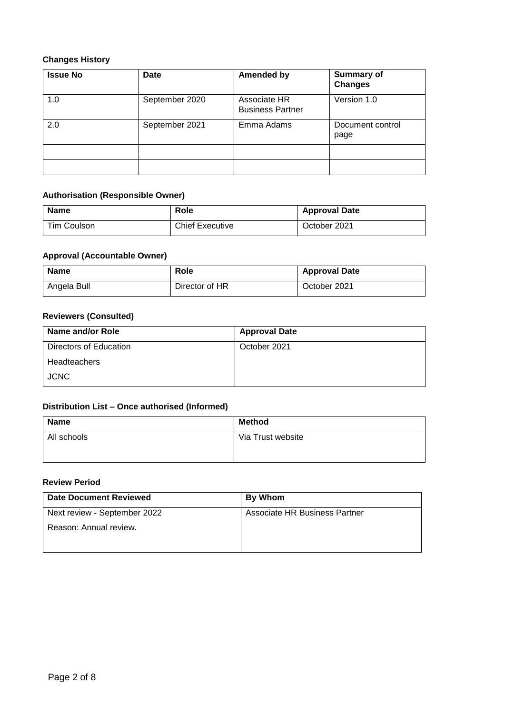# **Changes History**

| <b>Issue No</b> | Date           | <b>Amended by</b>                       | <b>Summary of</b><br><b>Changes</b> |
|-----------------|----------------|-----------------------------------------|-------------------------------------|
| 1.0             | September 2020 | Associate HR<br><b>Business Partner</b> | Version 1.0                         |
| 2.0             | September 2021 | Emma Adams                              | Document control<br>page            |
|                 |                |                                         |                                     |
|                 |                |                                         |                                     |

# **Authorisation (Responsible Owner)**

| <b>Name</b> | Role                   | <b>Approval Date</b> |
|-------------|------------------------|----------------------|
| Tim Coulson | <b>Chief Executive</b> | October 2021         |

# **Approval (Accountable Owner)**

| <b>Name</b> | Role           | <b>Approval Date</b> |
|-------------|----------------|----------------------|
| Angela Bull | Director of HR | October 2021         |

# **Reviewers (Consulted)**

| Name and/or Role       | <b>Approval Date</b> |
|------------------------|----------------------|
| Directors of Education | October 2021         |
| <b>Headteachers</b>    |                      |
| <b>JCNC</b>            |                      |

# **Distribution List – Once authorised (Informed)**

| <b>Name</b> | <b>Method</b>     |
|-------------|-------------------|
| All schools | Via Trust website |
|             |                   |

#### **Review Period**

| <b>Date Document Reviewed</b> | <b>By Whom</b>                |
|-------------------------------|-------------------------------|
| Next review - September 2022  | Associate HR Business Partner |
| Reason: Annual review.        |                               |
|                               |                               |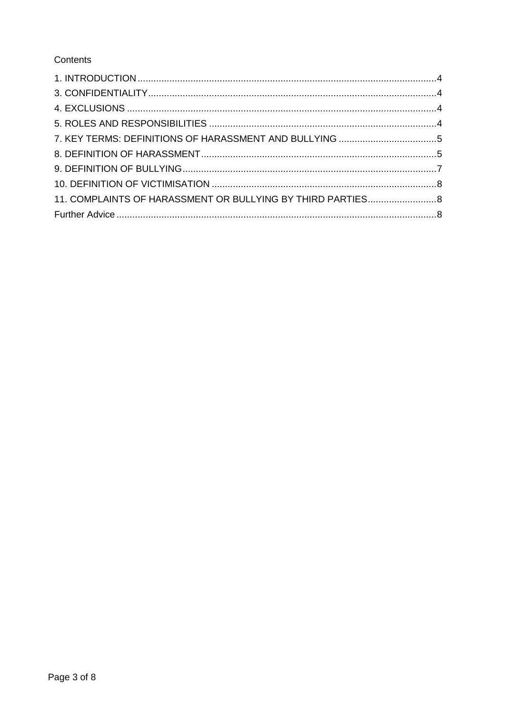# Contents

| 11. COMPLAINTS OF HARASSMENT OR BULLYING BY THIRD PARTIES 8 |  |
|-------------------------------------------------------------|--|
|                                                             |  |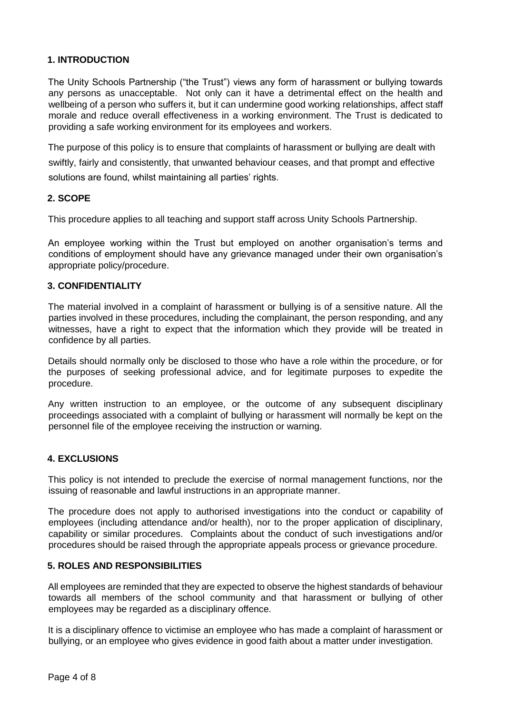# <span id="page-3-0"></span>**1. INTRODUCTION**

The Unity Schools Partnership ("the Trust") views any form of harassment or bullying towards any persons as unacceptable. Not only can it have a detrimental effect on the health and wellbeing of a person who suffers it, but it can undermine good working relationships, affect staff morale and reduce overall effectiveness in a working environment. The Trust is dedicated to providing a safe working environment for its employees and workers.

The purpose of this policy is to ensure that complaints of harassment or bullying are dealt with swiftly, fairly and consistently, that unwanted behaviour ceases, and that prompt and effective solutions are found, whilst maintaining all parties' rights.

#### **2. SCOPE**

This procedure applies to all teaching and support staff across Unity Schools Partnership.

An employee working within the Trust but employed on another organisation's terms and conditions of employment should have any grievance managed under their own organisation's appropriate policy/procedure.

#### <span id="page-3-1"></span>**3. CONFIDENTIALITY**

The material involved in a complaint of harassment or bullying is of a sensitive nature. All the parties involved in these procedures, including the complainant, the person responding, and any witnesses, have a right to expect that the information which they provide will be treated in confidence by all parties.

Details should normally only be disclosed to those who have a role within the procedure, or for the purposes of seeking professional advice, and for legitimate purposes to expedite the procedure.

Any written instruction to an employee, or the outcome of any subsequent disciplinary proceedings associated with a complaint of bullying or harassment will normally be kept on the personnel file of the employee receiving the instruction or warning.

#### <span id="page-3-2"></span>**4. EXCLUSIONS**

This policy is not intended to preclude the exercise of normal management functions, nor the issuing of reasonable and lawful instructions in an appropriate manner.

The procedure does not apply to authorised investigations into the conduct or capability of employees (including attendance and/or health), nor to the proper application of disciplinary, capability or similar procedures. Complaints about the conduct of such investigations and/or procedures should be raised through the appropriate appeals process or grievance procedure.

#### <span id="page-3-3"></span>**5. ROLES AND RESPONSIBILITIES**

All employees are reminded that they are expected to observe the highest standards of behaviour towards all members of the school community and that harassment or bullying of other employees may be regarded as a disciplinary offence.

It is a disciplinary offence to victimise an employee who has made a complaint of harassment or bullying, or an employee who gives evidence in good faith about a matter under investigation.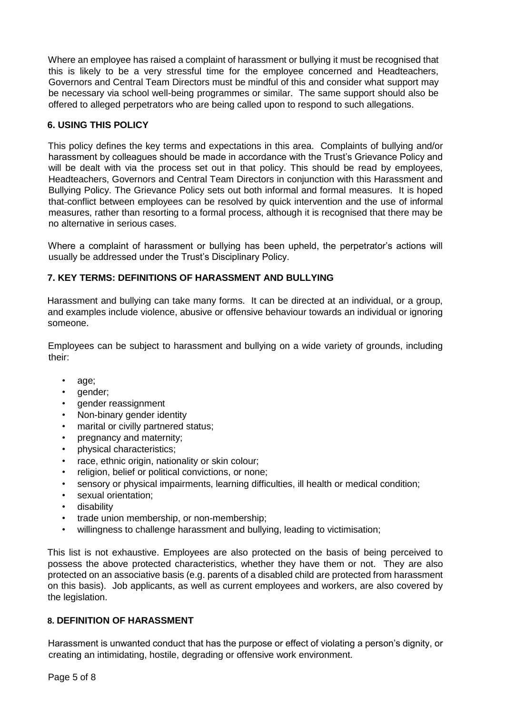Where an employee has raised a complaint of harassment or bullying it must be recognised that this is likely to be a very stressful time for the employee concerned and Headteachers, Governors and Central Team Directors must be mindful of this and consider what support may be necessary via school well-being programmes or similar. The same support should also be offered to alleged perpetrators who are being called upon to respond to such allegations.

## **6. USING THIS POLICY**

This policy defines the key terms and expectations in this area. Complaints of bullying and/or harassment by colleagues should be made in accordance with the Trust's Grievance Policy and will be dealt with via the process set out in that policy. This should be read by employees, Headteachers, Governors and Central Team Directors in conjunction with this Harassment and Bullying Policy. The Grievance Policy sets out both informal and formal measures. It is hoped that conflict between employees can be resolved by quick intervention and the use of informal measures, rather than resorting to a formal process, although it is recognised that there may be no alternative in serious cases.

Where a complaint of harassment or bullying has been upheld, the perpetrator's actions will usually be addressed under the Trust's Disciplinary Policy.

# <span id="page-4-0"></span>**7. KEY TERMS: DEFINITIONS OF HARASSMENT AND BULLYING**

Harassment and bullying can take many forms. It can be directed at an individual, or a group, and examples include violence, abusive or offensive behaviour towards an individual or ignoring someone.

Employees can be subject to harassment and bullying on a wide variety of grounds, including their:

- age;
- gender;
- gender reassignment
- Non-binary gender identity
- marital or civilly partnered status;
- pregnancy and maternity;
- physical characteristics;
- race, ethnic origin, nationality or skin colour;
- religion, belief or political convictions, or none;
- sensory or physical impairments, learning difficulties, ill health or medical condition;
- sexual orientation:
- disability
- trade union membership, or non-membership;
- willingness to challenge harassment and bullying, leading to victimisation;

This list is not exhaustive. Employees are also protected on the basis of being perceived to possess the above protected characteristics, whether they have them or not. They are also protected on an associative basis (e.g. parents of a disabled child are protected from harassment on this basis). Job applicants, as well as current employees and workers, are also covered by the legislation.

# <span id="page-4-1"></span>**8. DEFINITION OF HARASSMENT**

Harassment is unwanted conduct that has the purpose or effect of violating a person's dignity, or creating an intimidating, hostile, degrading or offensive work environment.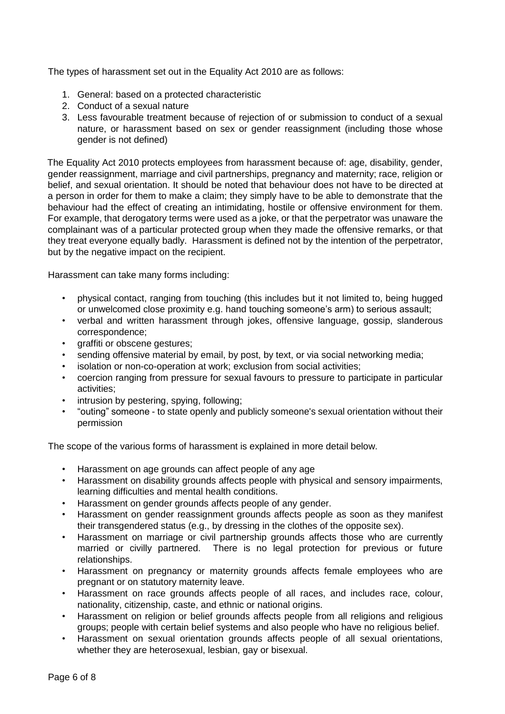The types of harassment set out in the Equality Act 2010 are as follows:

- 1. General: based on a protected characteristic
- 2. Conduct of a sexual nature
- 3. Less favourable treatment because of rejection of or submission to conduct of a sexual nature, or harassment based on sex or gender reassignment (including those whose gender is not defined)

The Equality Act 2010 protects employees from harassment because of: age, disability, gender, gender reassignment, marriage and civil partnerships, pregnancy and maternity; race, religion or belief, and sexual orientation. It should be noted that behaviour does not have to be directed at a person in order for them to make a claim; they simply have to be able to demonstrate that the behaviour had the effect of creating an intimidating, hostile or offensive environment for them. For example, that derogatory terms were used as a joke, or that the perpetrator was unaware the complainant was of a particular protected group when they made the offensive remarks, or that they treat everyone equally badly. Harassment is defined not by the intention of the perpetrator, but by the negative impact on the recipient.

Harassment can take many forms including:

- physical contact, ranging from touching (this includes but it not limited to, being hugged or unwelcomed close proximity e.g. hand touching someone's arm) to serious assault;
- verbal and written harassment through jokes, offensive language, gossip, slanderous correspondence;
- graffiti or obscene gestures;
- sending offensive material by email, by post, by text, or via social networking media;
- isolation or non-co-operation at work; exclusion from social activities;
- coercion ranging from pressure for sexual favours to pressure to participate in particular activities;
- intrusion by pestering, spying, following;
- "outing" someone to state openly and publicly someone's sexual orientation without their permission

The scope of the various forms of harassment is explained in more detail below.

- Harassment on age grounds can affect people of any age
- Harassment on disability grounds affects people with physical and sensory impairments, learning difficulties and mental health conditions.
- Harassment on gender grounds affects people of any gender.
- Harassment on gender reassignment grounds affects people as soon as they manifest their transgendered status (e.g., by dressing in the clothes of the opposite sex).
- Harassment on marriage or civil partnership grounds affects those who are currently married or civilly partnered. There is no legal protection for previous or future relationships.
- Harassment on pregnancy or maternity grounds affects female employees who are pregnant or on statutory maternity leave.
- Harassment on race grounds affects people of all races, and includes race, colour, nationality, citizenship, caste, and ethnic or national origins.
- Harassment on religion or belief grounds affects people from all religions and religious groups; people with certain belief systems and also people who have no religious belief.
- Harassment on sexual orientation grounds affects people of all sexual orientations, whether they are heterosexual, lesbian, gay or bisexual.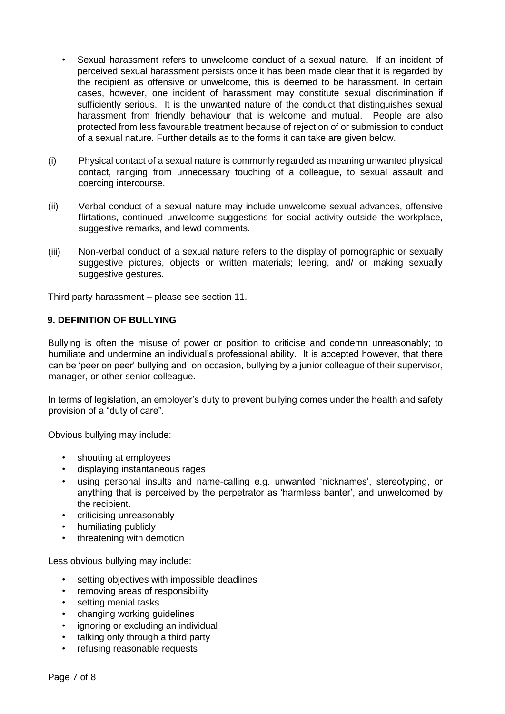- Sexual harassment refers to unwelcome conduct of a sexual nature. If an incident of perceived sexual harassment persists once it has been made clear that it is regarded by the recipient as offensive or unwelcome, this is deemed to be harassment. In certain cases, however, one incident of harassment may constitute sexual discrimination if sufficiently serious. It is the unwanted nature of the conduct that distinguishes sexual harassment from friendly behaviour that is welcome and mutual. People are also protected from less favourable treatment because of rejection of or submission to conduct of a sexual nature. Further details as to the forms it can take are given below.
- (i) Physical contact of a sexual nature is commonly regarded as meaning unwanted physical contact, ranging from unnecessary touching of a colleague, to sexual assault and coercing intercourse.
- (ii) Verbal conduct of a sexual nature may include unwelcome sexual advances, offensive flirtations, continued unwelcome suggestions for social activity outside the workplace, suggestive remarks, and lewd comments.
- (iii) Non-verbal conduct of a sexual nature refers to the display of pornographic or sexually suggestive pictures, objects or written materials; leering, and/ or making sexually suggestive gestures.

Third party harassment – please see section 11.

#### <span id="page-6-0"></span>**9. DEFINITION OF BULLYING**

Bullying is often the misuse of power or position to criticise and condemn unreasonably; to humiliate and undermine an individual's professional ability. It is accepted however, that there can be 'peer on peer' bullying and, on occasion, bullying by a junior colleague of their supervisor, manager, or other senior colleague.

In terms of legislation, an employer's duty to prevent bullying comes under the health and safety provision of a "duty of care".

Obvious bullying may include:

- shouting at employees
- displaying instantaneous rages
- using personal insults and name-calling e.g. unwanted 'nicknames', stereotyping, or anything that is perceived by the perpetrator as 'harmless banter', and unwelcomed by the recipient.
- criticising unreasonably
- humiliating publicly
- threatening with demotion

Less obvious bullying may include:

- setting objectives with impossible deadlines
- removing areas of responsibility
- setting menial tasks
- changing working guidelines
- ignoring or excluding an individual
- talking only through a third party
- refusing reasonable requests